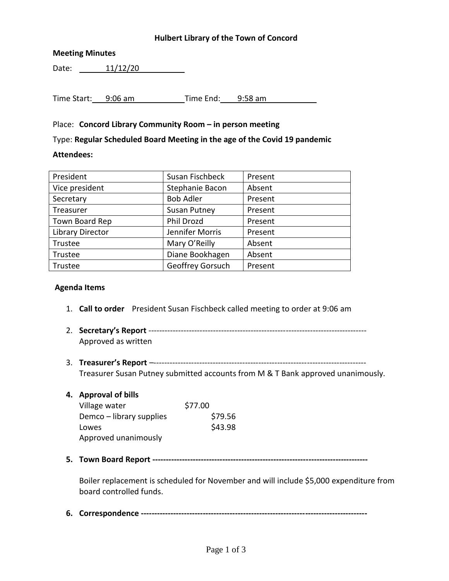### **Hulbert Library of the Town of Concord**

### **Meeting Minutes**

Date: 11/12/20

Time Start: 9:06 am Time End: 9:58 am

## Place: **Concord Library Community Room – in person meeting**

Type: **Regular Scheduled Board Meeting in the age of the Covid 19 pandemic**

#### **Attendees:**

| President               | Susan Fischbeck     | Present |
|-------------------------|---------------------|---------|
| Vice president          | Stephanie Bacon     | Absent  |
| Secretary               | <b>Bob Adler</b>    | Present |
| Treasurer               | <b>Susan Putney</b> | Present |
| Town Board Rep          | Phil Drozd          | Present |
| <b>Library Director</b> | Jennifer Morris     | Present |
| Trustee                 | Mary O'Reilly       | Absent  |
| Trustee                 | Diane Bookhagen     | Absent  |
| Trustee                 | Geoffrey Gorsuch    | Present |

#### **Agenda Items**

- 1. **Call to order** President Susan Fischbeck called meeting to order at 9:06 am
- 2. **Secretary's Report** --------------------------------------------------------------------------------- Approved as written
- 3. **Treasurer's Report** –------------------------------------------------------------------------------- Treasurer Susan Putney submitted accounts from M & T Bank approved unanimously.
- **4. Approval of bills**

| Village water            | \$77.00 |
|--------------------------|---------|
| Demco – library supplies | \$79.56 |
| Lowes                    | \$43.98 |
| Approved unanimously     |         |

**5. Town Board Report --------------------------------------------------------------------------------**

Boiler replacement is scheduled for November and will include \$5,000 expenditure from board controlled funds.

**6. Correspondence ------------------------------------------------------------------------------------**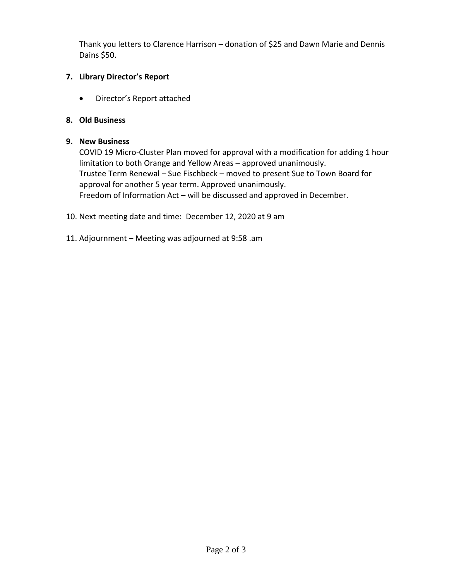Thank you letters to Clarence Harrison – donation of \$25 and Dawn Marie and Dennis Dains \$50.

# **7. Library Director's Report**

Director's Report attached

# **8. Old Business**

## **9. New Business**

COVID 19 Micro-Cluster Plan moved for approval with a modification for adding 1 hour limitation to both Orange and Yellow Areas – approved unanimously. Trustee Term Renewal – Sue Fischbeck – moved to present Sue to Town Board for approval for another 5 year term. Approved unanimously. Freedom of Information Act – will be discussed and approved in December.

- 10. Next meeting date and time: December 12, 2020 at 9 am
- 11. Adjournment Meeting was adjourned at 9:58 .am